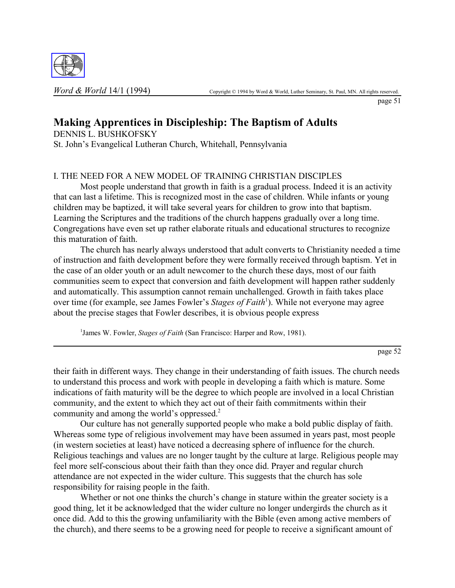

page 51

# **Making Apprentices in Discipleship: The Baptism of Adults**

DENNIS L. BUSHKOFSKY St. John's Evangelical Lutheran Church, Whitehall, Pennsylvania

## I. THE NEED FOR A NEW MODEL OF TRAINING CHRISTIAN DISCIPLES

Most people understand that growth in faith is a gradual process. Indeed it is an activity that can last a lifetime. This is recognized most in the case of children. While infants or young children may be baptized, it will take several years for children to grow into that baptism. Learning the Scriptures and the traditions of the church happens gradually over a long time. Congregations have even set up rather elaborate rituals and educational structures to recognize this maturation of faith.

The church has nearly always understood that adult converts to Christianity needed a time of instruction and faith development before they were formally received through baptism. Yet in the case of an older youth or an adult newcomer to the church these days, most of our faith communities seem to expect that conversion and faith development will happen rather suddenly and automatically. This assumption cannot remain unchallenged. Growth in faith takes place over time (for example, see James Fowler's *Stages of Faith*<sup>1</sup>). While not everyone may agree about the precise stages that Fowler describes, it is obvious people express

<sup>1</sup> James W. Fowler, *Stages of Faith* (San Francisco: Harper and Row, 1981).

page 52

their faith in different ways. They change in their understanding of faith issues. The church needs to understand this process and work with people in developing a faith which is mature. Some indications of faith maturity will be the degree to which people are involved in a local Christian community, and the extent to which they act out of their faith commitments within their community and among the world's oppressed.<sup>2</sup>

Our culture has not generally supported people who make a bold public display of faith. Whereas some type of religious involvement may have been assumed in years past, most people (in western societies at least) have noticed a decreasing sphere of influence for the church. Religious teachings and values are no longer taught by the culture at large. Religious people may feel more self-conscious about their faith than they once did. Prayer and regular church attendance are not expected in the wider culture. This suggests that the church has sole responsibility for raising people in the faith.

Whether or not one thinks the church's change in stature within the greater society is a good thing, let it be acknowledged that the wider culture no longer undergirds the church as it once did. Add to this the growing unfamiliarity with the Bible (even among active members of the church), and there seems to be a growing need for people to receive a significant amount of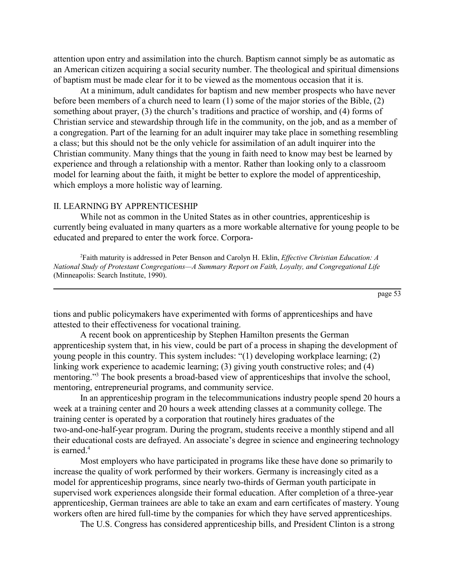attention upon entry and assimilation into the church. Baptism cannot simply be as automatic as an American citizen acquiring a social security number. The theological and spiritual dimensions of baptism must be made clear for it to be viewed as the momentous occasion that it is.

At a minimum, adult candidates for baptism and new member prospects who have never before been members of a church need to learn (1) some of the major stories of the Bible, (2) something about prayer,  $(3)$  the church's traditions and practice of worship, and  $(4)$  forms of Christian service and stewardship through life in the community, on the job, and as a member of a congregation. Part of the learning for an adult inquirer may take place in something resembling a class; but this should not be the only vehicle for assimilation of an adult inquirer into the Christian community. Many things that the young in faith need to know may best be learned by experience and through a relationship with a mentor. Rather than looking only to a classroom model for learning about the faith, it might be better to explore the model of apprenticeship, which employs a more holistic way of learning.

### II. LEARNING BY APPRENTICESHIP

While not as common in the United States as in other countries, apprenticeship is currently being evaluated in many quarters as a more workable alternative for young people to be educated and prepared to enter the work force. Corpora-

2 Faith maturity is addressed in Peter Benson and Carolyn H. Eklin, *Effective Christian Education: A National Study of Protestant Congregations—A Summary Report on Faith, Loyalty, and Congregational Life* (Minneapolis: Search Institute, 1990).

page 53

tions and public policymakers have experimented with forms of apprenticeships and have attested to their effectiveness for vocational training.

A recent book on apprenticeship by Stephen Hamilton presents the German apprenticeship system that, in his view, could be part of a process in shaping the development of young people in this country. This system includes:  $\degree(1)$  developing workplace learning; (2) linking work experience to academic learning; (3) giving youth constructive roles; and (4) mentoring."<sup>3</sup> The book presents a broad-based view of apprenticeships that involve the school, mentoring, entrepreneurial programs, and community service.

In an apprenticeship program in the telecommunications industry people spend 20 hours a week at a training center and 20 hours a week attending classes at a community college. The training center is operated by a corporation that routinely hires graduates of the two-and-one-half-year program. During the program, students receive a monthly stipend and all their educational costs are defrayed. An associate's degree in science and engineering technology is earned.<sup>4</sup>

Most employers who have participated in programs like these have done so primarily to increase the quality of work performed by their workers. Germany is increasingly cited as a model for apprenticeship programs, since nearly two-thirds of German youth participate in supervised work experiences alongside their formal education. After completion of a three-year apprenticeship, German trainees are able to take an exam and earn certificates of mastery. Young workers often are hired full-time by the companies for which they have served apprenticeships.

The U.S. Congress has considered apprenticeship bills, and President Clinton is a strong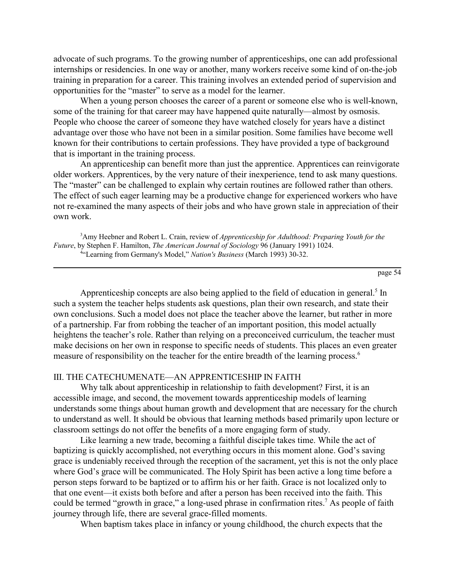advocate of such programs. To the growing number of apprenticeships, one can add professional internships or residencies. In one way or another, many workers receive some kind of on-the-job training in preparation for a career. This training involves an extended period of supervision and opportunities for the "master" to serve as a model for the learner.

When a young person chooses the career of a parent or someone else who is well-known, some of the training for that career may have happened quite naturally—almost by osmosis. People who choose the career of someone they have watched closely for years have a distinct advantage over those who have not been in a similar position. Some families have become well known for their contributions to certain professions. They have provided a type of background that is important in the training process.

An apprenticeship can benefit more than just the apprentice. Apprentices can reinvigorate older workers. Apprentices, by the very nature of their inexperience, tend to ask many questions. The "master" can be challenged to explain why certain routines are followed rather than others. The effect of such eager learning may be a productive change for experienced workers who have not re-examined the many aspects of their jobs and who have grown stale in appreciation of their own work.

3 Amy Heebner and Robert L. Crain, review of *Apprenticeship for Adulthood: Preparing Youth for the Future*, by Stephen F. Hamilton, *The American Journal of Sociology* 96 (January 1991) 1024. <sup>4</sup>"Learning from Germany's Model," Nation's Business (March 1993) 30-32.

page 54

Apprenticeship concepts are also being applied to the field of education in general.<sup>5</sup> In such a system the teacher helps students ask questions, plan their own research, and state their own conclusions. Such a model does not place the teacher above the learner, but rather in more of a partnership. Far from robbing the teacher of an important position, this model actually heightens the teacher's role. Rather than relying on a preconceived curriculum, the teacher must make decisions on her own in response to specific needs of students. This places an even greater measure of responsibility on the teacher for the entire breadth of the learning process.<sup>6</sup>

#### III. THE CATECHUMENATE—AN APPRENTICESHIP IN FAITH

Why talk about apprenticeship in relationship to faith development? First, it is an accessible image, and second, the movement towards apprenticeship models of learning understands some things about human growth and development that are necessary for the church to understand as well. It should be obvious that learning methods based primarily upon lecture or classroom settings do not offer the benefits of a more engaging form of study.

Like learning a new trade, becoming a faithful disciple takes time. While the act of baptizing is quickly accomplished, not everything occurs in this moment alone. God's saving grace is undeniably received through the reception of the sacrament, yet this is not the only place where God's grace will be communicated. The Holy Spirit has been active a long time before a person steps forward to be baptized or to affirm his or her faith. Grace is not localized only to that one event—it exists both before and after a person has been received into the faith. This could be termed "growth in grace," a long-used phrase in confirmation rites.<sup>7</sup> As people of faith journey through life, there are several grace-filled moments.

When baptism takes place in infancy or young childhood, the church expects that the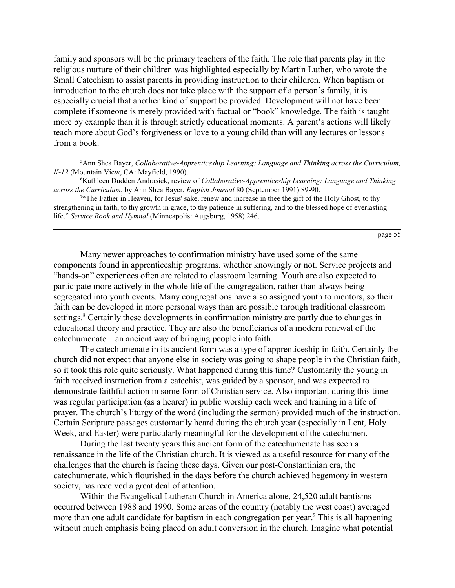family and sponsors will be the primary teachers of the faith. The role that parents play in the religious nurture of their children was highlighted especially by Martin Luther, who wrote the Small Catechism to assist parents in providing instruction to their children. When baptism or introduction to the church does not take place with the support of a person's family, it is especially crucial that another kind of support be provided. Development will not have been complete if someone is merely provided with factual or "book" knowledge. The faith is taught more by example than it is through strictly educational moments. A parent's actions will likely teach more about God's forgiveness or love to a young child than will any lectures or lessons from a book.

5 Ann Shea Bayer, *Collaborative-Apprenticeship Learning: Language and Thinking across the Curriculum, K-12* (Mountain View, CA: Mayfield, 1990).

6 Kathleen Dudden Andrasick, review of *Collaborative-Apprenticeship Learning: Language and Thinking across the Curriculum*, by Ann Shea Bayer, *English Journal* 80 (September 1991) 89-90.

<sup>7</sup> The Father in Heaven, for Jesus' sake, renew and increase in thee the gift of the Holy Ghost, to thy strengthening in faith, to thy growth in grace, to thy patience in suffering, and to the blessed hope of everlasting life." *Service Book and Hymnal* (Minneapolis: Augsburg, 1958) 246.

page 55

Many newer approaches to confirmation ministry have used some of the same components found in apprenticeship programs, whether knowingly or not. Service projects and ìhands-onî experiences often are related to classroom learning. Youth are also expected to participate more actively in the whole life of the congregation, rather than always being segregated into youth events. Many congregations have also assigned youth to mentors, so their faith can be developed in more personal ways than are possible through traditional classroom settings.<sup>8</sup> Certainly these developments in confirmation ministry are partly due to changes in educational theory and practice. They are also the beneficiaries of a modern renewal of the catechumenate—an ancient way of bringing people into faith.

The catechumenate in its ancient form was a type of apprenticeship in faith. Certainly the church did not expect that anyone else in society was going to shape people in the Christian faith, so it took this role quite seriously. What happened during this time? Customarily the young in faith received instruction from a catechist, was guided by a sponsor, and was expected to demonstrate faithful action in some form of Christian service. Also important during this time was regular participation (as a hearer) in public worship each week and training in a life of prayer. The church's liturgy of the word (including the sermon) provided much of the instruction. Certain Scripture passages customarily heard during the church year (especially in Lent, Holy Week, and Easter) were particularly meaningful for the development of the catechumen.

During the last twenty years this ancient form of the catechumenate has seen a renaissance in the life of the Christian church. It is viewed as a useful resource for many of the challenges that the church is facing these days. Given our post-Constantinian era, the catechumenate, which flourished in the days before the church achieved hegemony in western society, has received a great deal of attention.

Within the Evangelical Lutheran Church in America alone, 24,520 adult baptisms occurred between 1988 and 1990. Some areas of the country (notably the west coast) averaged more than one adult candidate for baptism in each congregation per year.<sup>9</sup> This is all happening without much emphasis being placed on adult conversion in the church. Imagine what potential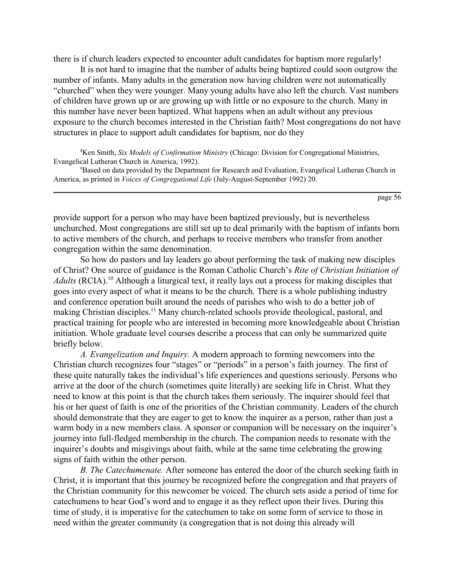there is if church leaders expected to encounter adult candidates for baptism more regularly!

It is not hard to imagine that the number of adults being baptized could soon outgrow the number of infants. Many adults in the generation now having children were not automatically ìchurchedî when they were younger. Many young adults have also left the church. Vast numbers of children have grown up or are growing up with little or no exposure to the church. Many in this number have never been baptized. What happens when an adult without any previous exposure to the church becomes interested in the Christian faith? Most congregations do not have structures in place to support adult candidates for baptism, nor do they

8 Ken Smith, *Six Models of Confirmation Ministry* (Chicago: Division for Congregational Ministries, Evangelical Lutheran Church in America, 1992).

<sup>9</sup>Based on data provided by the Department for Research and Evaluation, Evangelical Lutheran Church in America, as printed in *Voices of Congregational Life* (July-August-September 1992) 20.

page 56

provide support for a person who may have been baptized previously, but is nevertheless unchurched. Most congregations are still set up to deal primarily with the baptism of infants born to active members of the church, and perhaps to receive members who transfer from another congregation within the same denomination.

So how do pastors and lay leaders go about performing the task of making new disciples of Christ? One source of guidance is the Roman Catholic Church's *Rite of Christian Initiation of Adults* (RCIA).<sup>10</sup> Although a liturgical text, it really lays out a process for making disciples that goes into every aspect of what it means to be the church. There is a whole publishing industry and conference operation built around the needs of parishes who wish to do a better job of making Christian disciples.<sup>11</sup> Many church-related schools provide theological, pastoral, and practical training for people who are interested in becoming more knowledgeable about Christian initiation. Whole graduate level courses describe a process that can only be summarized quite briefly below.

*A. Evangelization and Inquiry.* A modern approach to forming newcomers into the Christian church recognizes four "stages" or "periods" in a person's faith journey. The first of these quite naturally takes the individual's life experiences and questions seriously. Persons who arrive at the door of the church (sometimes quite literally) are seeking life in Christ. What they need to know at this point is that the church takes them seriously. The inquirer should feel that his or her quest of faith is one of the priorities of the Christian community. Leaders of the church should demonstrate that they are eager to get to know the inquirer as a person, rather than just a warm body in a new members class. A sponsor or companion will be necessary on the inquirer's journey into full-fledged membership in the church. The companion needs to resonate with the inquirer's doubts and misgivings about faith, while at the same time celebrating the growing signs of faith within the other person.

*B. The Catechumenate.* After someone has entered the door of the church seeking faith in Christ, it is important that this journey be recognized before the congregation and that prayers of the Christian community for this newcomer be voiced. The church sets aside a period of time for catechumens to hear God's word and to engage it as they reflect upon their lives. During this time of study, it is imperative for the catechumen to take on some form of service to those in need within the greater community (a congregation that is not doing this already will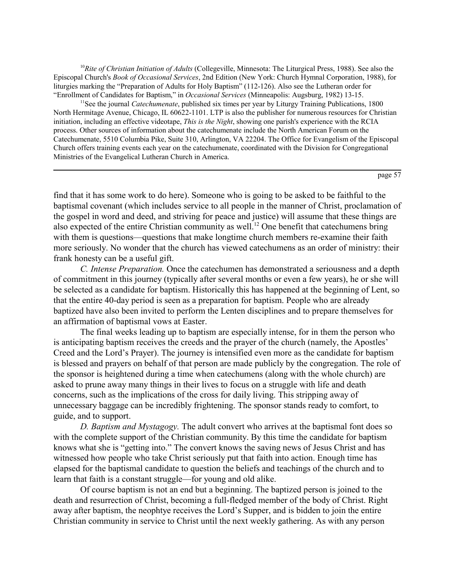<sup>10</sup>Rite of Christian Initiation of Adults (Collegeville, Minnesota: The Liturgical Press, 1988). See also the Episcopal Church's *Book of Occasional Services*, 2nd Edition (New York: Church Hymnal Corporation, 1988), for liturgies marking the "Preparation of Adults for Holy Baptism" (112-126). Also see the Lutheran order for ìEnrollment of Candidates for Baptism,î in *Occasional Services* (Minneapolis: Augsburg, 1982) 13-15.

<sup>11</sup>See the journal *Catechumenate*, published six times per year by Liturgy Training Publications, 1800 North Hermitage Avenue, Chicago, IL 60622-1101. LTP is also the publisher for numerous resources for Christian initiation, including an effective videotape, *This is the Night*, showing one parish's experience with the RCIA process. Other sources of information about the catechumenate include the North American Forum on the Catechumenate, 5510 Columbia Pike, Suite 310, Arlington, VA 22204. The Office for Evangelism of the Episcopal Church offers training events each year on the catechumenate, coordinated with the Division for Congregational Ministries of the Evangelical Lutheran Church in America.

page 57

find that it has some work to do here). Someone who is going to be asked to be faithful to the baptismal covenant (which includes service to all people in the manner of Christ, proclamation of the gospel in word and deed, and striving for peace and justice) will assume that these things are also expected of the entire Christian community as well.<sup>12</sup> One benefit that cate chumens bring with them is questions—questions that make longtime church members re-examine their faith more seriously. No wonder that the church has viewed catechumens as an order of ministry: their frank honesty can be a useful gift.

*C. Intense Preparation.* Once the catechumen has demonstrated a seriousness and a depth of commitment in this journey (typically after several months or even a few years), he or she will be selected as a candidate for baptism. Historically this has happened at the beginning of Lent, so that the entire 40-day period is seen as a preparation for baptism. People who are already baptized have also been invited to perform the Lenten disciplines and to prepare themselves for an affirmation of baptismal vows at Easter.

The final weeks leading up to baptism are especially intense, for in them the person who is anticipating baptism receives the creeds and the prayer of the church (namely, the Apostles<sup>†</sup> Creed and the Lord's Prayer). The journey is intensified even more as the candidate for baptism is blessed and prayers on behalf of that person are made publicly by the congregation. The role of the sponsor is heightened during a time when catechumens (along with the whole church) are asked to prune away many things in their lives to focus on a struggle with life and death concerns, such as the implications of the cross for daily living. This stripping away of unnecessary baggage can be incredibly frightening. The sponsor stands ready to comfort, to guide, and to support.

*D. Baptism and Mystagogy.* The adult convert who arrives at the baptismal font does so with the complete support of the Christian community. By this time the candidate for baptism knows what she is "getting into." The convert knows the saving news of Jesus Christ and has witnessed how people who take Christ seriously put that faith into action. Enough time has elapsed for the baptismal candidate to question the beliefs and teachings of the church and to learn that faith is a constant struggle—for young and old alike.

Of course baptism is not an end but a beginning. The baptized person is joined to the death and resurrection of Christ, becoming a full-fledged member of the body of Christ. Right away after baptism, the neophtye receives the Lord's Supper, and is bidden to join the entire Christian community in service to Christ until the next weekly gathering. As with any person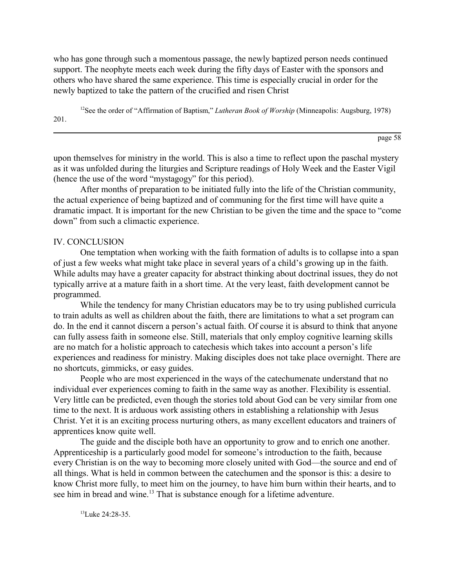who has gone through such a momentous passage, the newly baptized person needs continued support. The neophyte meets each week during the fifty days of Easter with the sponsors and others who have shared the same experience. This time is especially crucial in order for the newly baptized to take the pattern of the crucified and risen Christ

<sup>12</sup>See the order of "Affirmation of Baptism," *Lutheran Book of Worship* (Minneapolis: Augsburg, 1978) 201.

page 58

upon themselves for ministry in the world. This is also a time to reflect upon the paschal mystery as it was unfolded during the liturgies and Scripture readings of Holy Week and the Easter Vigil (hence the use of the word "mystagogy" for this period).

After months of preparation to be initiated fully into the life of the Christian community, the actual experience of being baptized and of communing for the first time will have quite a dramatic impact. It is important for the new Christian to be given the time and the space to "come down" from such a climactic experience.

#### IV. CONCLUSION

One temptation when working with the faith formation of adults is to collapse into a span of just a few weeks what might take place in several years of a child's growing up in the faith. While adults may have a greater capacity for abstract thinking about doctrinal issues, they do not typically arrive at a mature faith in a short time. At the very least, faith development cannot be programmed.

While the tendency for many Christian educators may be to try using published curricula to train adults as well as children about the faith, there are limitations to what a set program can do. In the end it cannot discern a person's actual faith. Of course it is absurd to think that anyone can fully assess faith in someone else. Still, materials that only employ cognitive learning skills are no match for a holistic approach to cate chesis which takes into account a person's life experiences and readiness for ministry. Making disciples does not take place overnight. There are no shortcuts, gimmicks, or easy guides.

People who are most experienced in the ways of the catechumenate understand that no individual ever experiences coming to faith in the same way as another. Flexibility is essential. Very little can be predicted, even though the stories told about God can be very similar from one time to the next. It is arduous work assisting others in establishing a relationship with Jesus Christ. Yet it is an exciting process nurturing others, as many excellent educators and trainers of apprentices know quite well.

The guide and the disciple both have an opportunity to grow and to enrich one another. Apprenticeship is a particularly good model for someone's introduction to the faith, because every Christian is on the way to becoming more closely united with God—the source and end of all things. What is held in common between the catechumen and the sponsor is this: a desire to know Christ more fully, to meet him on the journey, to have him burn within their hearts, and to see him in bread and wine.<sup>13</sup> That is substance enough for a lifetime adventure.

 $13$ Luke  $24.28-35$ .